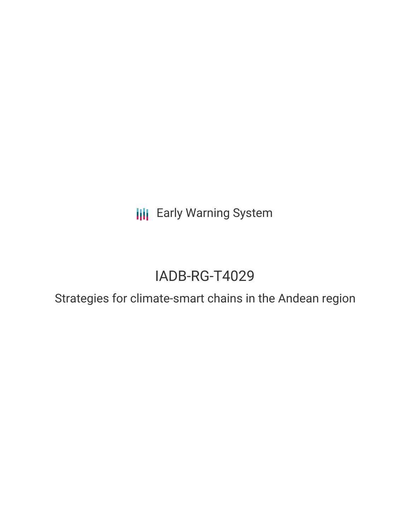**III** Early Warning System

# IADB-RG-T4029

Strategies for climate-smart chains in the Andean region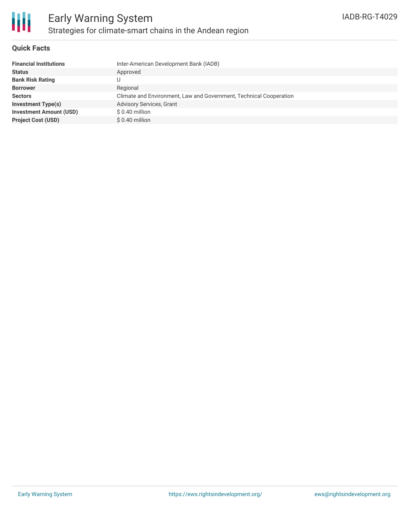

### **Quick Facts**

| <b>Financial Institutions</b>  | Inter-American Development Bank (IADB)                             |
|--------------------------------|--------------------------------------------------------------------|
| <b>Status</b>                  | Approved                                                           |
| <b>Bank Risk Rating</b>        |                                                                    |
| <b>Borrower</b>                | Regional                                                           |
| <b>Sectors</b>                 | Climate and Environment, Law and Government, Technical Cooperation |
| <b>Investment Type(s)</b>      | Advisory Services, Grant                                           |
| <b>Investment Amount (USD)</b> | $$0.40$ million                                                    |
| <b>Project Cost (USD)</b>      | $$0.40$ million                                                    |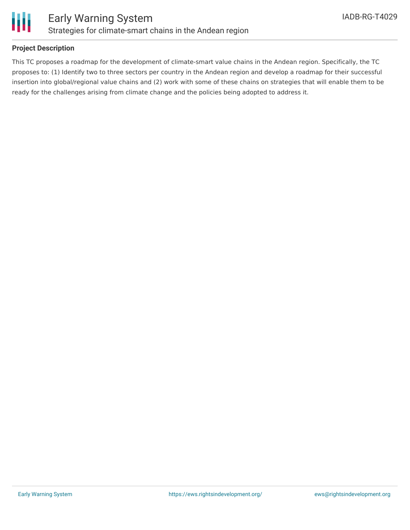

### **Project Description**

This TC proposes a roadmap for the development of climate-smart value chains in the Andean region. Specifically, the TC proposes to: (1) Identify two to three sectors per country in the Andean region and develop a roadmap for their successful insertion into global/regional value chains and (2) work with some of these chains on strategies that will enable them to be ready for the challenges arising from climate change and the policies being adopted to address it.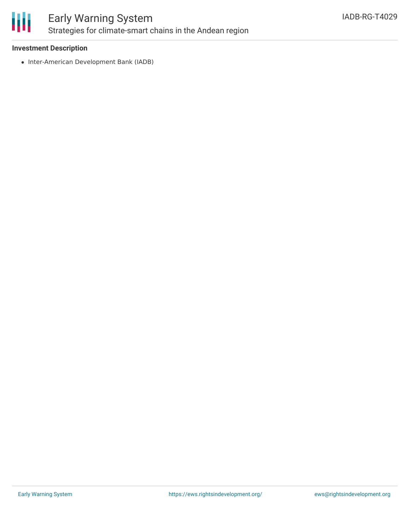

## Early Warning System Strategies for climate-smart chains in the Andean region

### **Investment Description**

• Inter-American Development Bank (IADB)